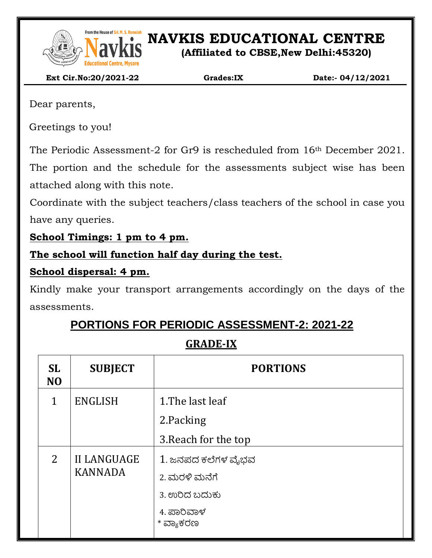

From the House of Sri. M. S. Ramaidah<br>**NAVEL SONG PRESENT IN S. Ramaidah**<br>**NAVEL SONG PRESENT IN SONG PRESENT IN SONG PRESENT IN SONG PRESENT IN SONG PRESENT IN SONG PRESENT IN SONG PRESENT** 

**(Affiliated to CBSE,New Delhi:45320)**

 **Ext Cir.No:20/2021-22 Grades:IX Date:- 04/12/2021**

Dear parents,

Greetings to you!

The Periodic Assessment-2 for Gr9 is rescheduled from 16th December 2021.

The portion and the schedule for the assessments subject wise has been attached along with this note.

Coordinate with the subject teachers/class teachers of the school in case you have any queries.

**School Timings: 1 pm to 4 pm.**

### **The school will function half day during the test.**

### **School dispersal: 4 pm.**

Kindly make your transport arrangements accordingly on the days of the assessments.

# **PORTIONS FOR PERIODIC ASSESSMENT-2: 2021-22**

## **GRADE-IX**

| <b>SL</b><br>N <sub>O</sub> | <b>SUBJECT</b>                       | <b>PORTIONS</b>                                      |
|-----------------------------|--------------------------------------|------------------------------------------------------|
| 1                           | <b>ENGLISH</b>                       | 1. The last leaf                                     |
|                             |                                      | 2.Packing                                            |
|                             |                                      | 3. Reach for the top                                 |
| $\overline{2}$              | <b>II LANGUAGE</b><br><b>KANNADA</b> | 1. ಜನಪದ ಕಲೆಗಳ ವೈಭವ<br>2. ಮರಳಿ ಮನೆಗೆ<br>3. ಉರಿದ ಬದುಕು |
|                             |                                      | 4. ಪಾರಿವಾಳ<br>* ವ್ಯಾಕರಣ                              |